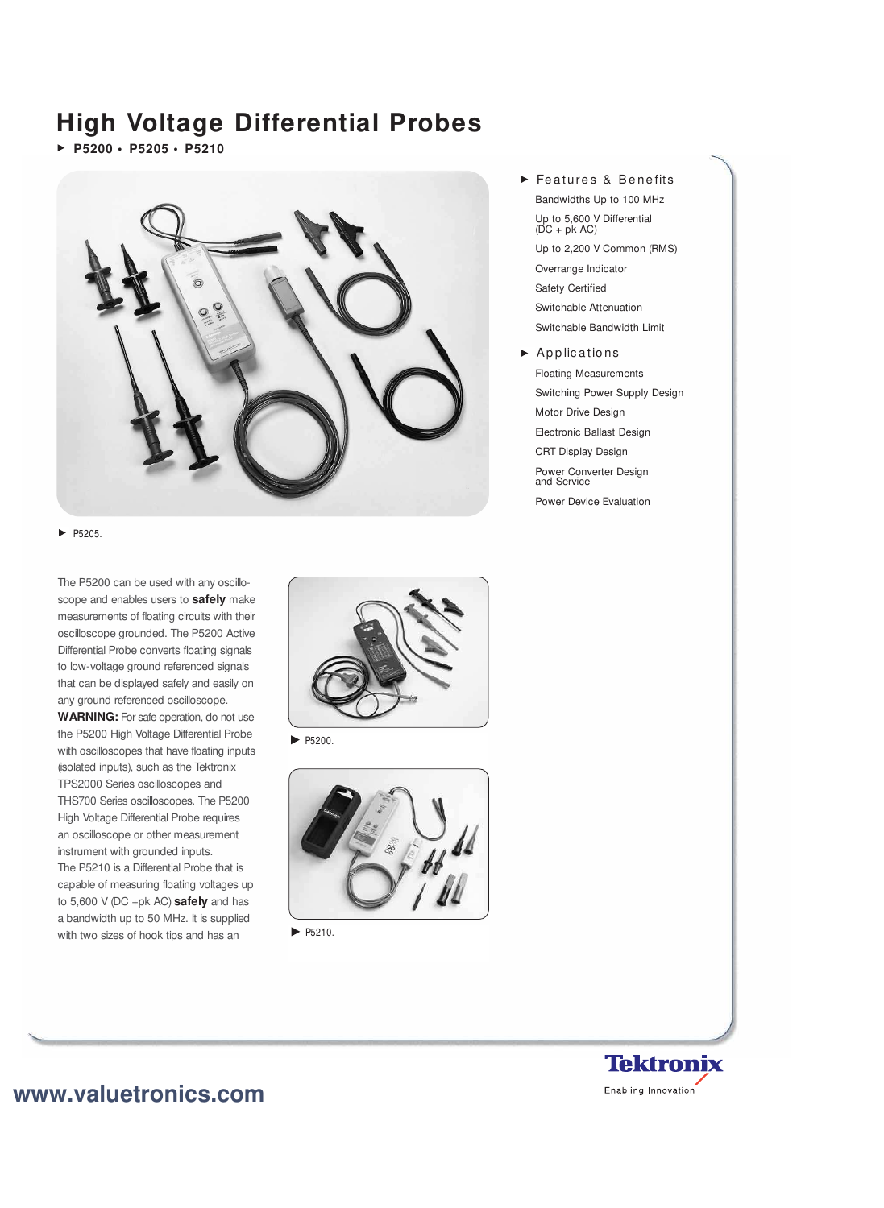# **High Voltage Differential Probes**

**P5200 • P5205 • P5210** 



 $\blacktriangleright$  P5205.

The P5200 can be used with any oscilloscope and enables users to **safely** make measurements of floating circuits with their oscilloscope grounded. The P5200 Active Differential Probe converts floating signals to low-voltage ground referenced signals that can be displayed safely and easily on any ground referenced oscilloscope.

**WARNING:** For safe operation, do not use the P5200 High Voltage Differential Probe with oscilloscopes that have floating inputs (isolated inputs), such as the Tektronix TPS2000 Series oscilloscopes and THS700 Series oscilloscopes. The P5200 High Voltage Differential Probe requires an oscilloscope or other measurement instrument with grounded inputs. The P5210 is a Differential Probe that is capable of measuring floating voltages up to 5,600 V (DC +pk AC) **safely** and has a bandwidth up to 50 MHz. It is supplied with two sizes of hook tips and has an



 $\blacktriangleright$  P5200.



 $\blacktriangleright$  P5210.

- Features & Benefits Bandwidths Up to 100 MHz Up to 5,600 V Differential  $(DC + pk AC)$ Up to 2,200 V Common (RMS) Overrange Indicator Safety Certified Switchable Attenuation Switchable Bandwidth Limit
- $\blacktriangleright$  Applications Floating Measurements Switching Power Supply Design Motor Drive Design Electronic Ballast Design CRT Display Design Power Converter Design and Service Power Device Evaluation



## **www.valuetronics.com**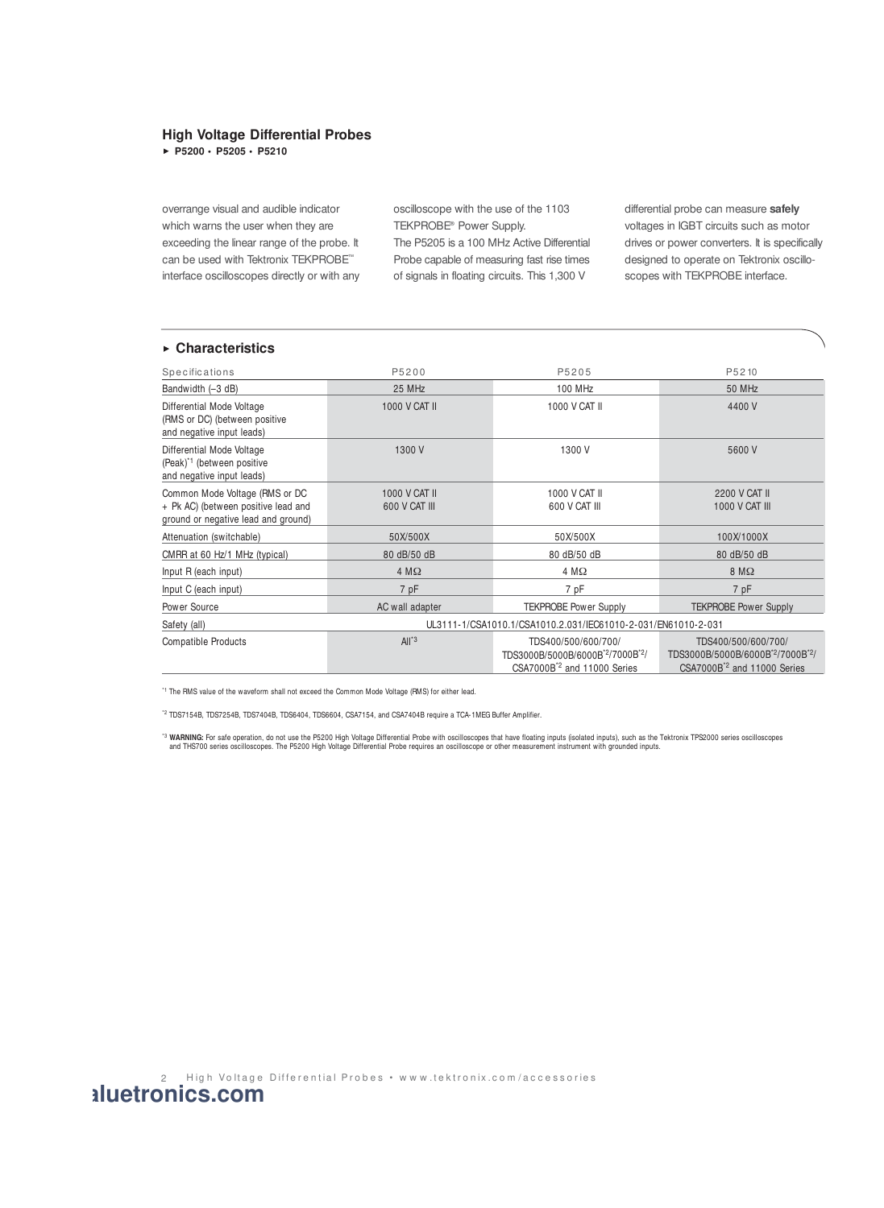## **High Voltage Differential Probes**

**P5200 • P5205 • P5210**

overrange visual and audible indicator which warns the user when they are exceeding the linear range of the probe. It can be used with Tektronix TEKPROBE™ interface oscilloscopes directly or with any oscilloscope with the use of the 1103 TEKPROBE® Power Supply.

The P5205 is a 100 MHz Active Differential Probe capable of measuring fast rise times of signals in floating circuits. This 1,300 V

differential probe can measure **safely** voltages in IGBT circuits such as motor drives or power converters. It is specifically designed to operate on Tektronix oscilloscopes with TEKPROBE interface.

## **Characteristics**

| Specifications                                                                                               | P5200                                                         | P5205                                                                                             | P5210                                                                                             |
|--------------------------------------------------------------------------------------------------------------|---------------------------------------------------------------|---------------------------------------------------------------------------------------------------|---------------------------------------------------------------------------------------------------|
| Bandwidth (-3 dB)                                                                                            | 25 MHz                                                        | 100 MHz                                                                                           | 50 MHz                                                                                            |
| Differential Mode Voltage<br>(RMS or DC) (between positive<br>and negative input leads)                      | <b>1000 V CAT II</b>                                          | 1000 V CAT II                                                                                     | 4400 V                                                                                            |
| Differential Mode Voltage<br>(Peak) <sup>*1</sup> (between positive<br>and negative input leads)             | 1300 V                                                        | 1300 V                                                                                            | 5600 V                                                                                            |
| Common Mode Voltage (RMS or DC<br>+ Pk AC) (between positive lead and<br>ground or negative lead and ground) | 1000 V CAT II<br>600 V CAT III                                | 1000 V CAT II<br>600 V CAT III                                                                    | 2200 V CAT II<br><b>1000 V CAT III</b>                                                            |
| Attenuation (switchable)                                                                                     | 50X/500X                                                      | 50X/500X                                                                                          | 100X/1000X                                                                                        |
| CMRR at 60 Hz/1 MHz (typical)                                                                                | 80 dB/50 dB                                                   | 80 dB/50 dB                                                                                       | 80 dB/50 dB                                                                                       |
| Input R (each input)                                                                                         | $4 M\Omega$                                                   | $4 M\Omega$                                                                                       | $8 M\Omega$                                                                                       |
| Input C (each input)                                                                                         | 7 pF                                                          | 7 pF                                                                                              | 7 pF                                                                                              |
| Power Source                                                                                                 | AC wall adapter                                               | <b>TEKPROBE Power Supply</b>                                                                      | <b>TEKPROBE Power Supply</b>                                                                      |
| Safety (all)                                                                                                 | UL3111-1/CSA1010.1/CSA1010.2.031/IEC61010-2-031/EN61010-2-031 |                                                                                                   |                                                                                                   |
| <b>Compatible Products</b>                                                                                   | $All^*3$                                                      | TDS400/500/600/700/<br>TDS3000B/5000B/6000B'2/7000B'2/<br>CSA7000B <sup>*2</sup> and 11000 Series | TDS400/500/600/700/<br>TDS3000B/5000B/6000B'2/7000B'2/<br>CSA7000B <sup>*2</sup> and 11000 Series |

\*1 The RMS value of the waveform shall not exceed the Common Mode Voltage (RMS) for either lead.

\*2 TDS7154B, TDS7254B, TDS7404B, TDS6404, TDS6604, CSA7154, and CSA7404B require a TCA-1MEG Buffer Amplifier.

'<sup>3</sup> WARNING: For safe operation, do not use the P5200 High Voltage Differential Probe with oscilloscopes that have floating inputs (isolated inputs), such as the Tektronix TPS2000 series oscilloscopes<br>and THS700 series os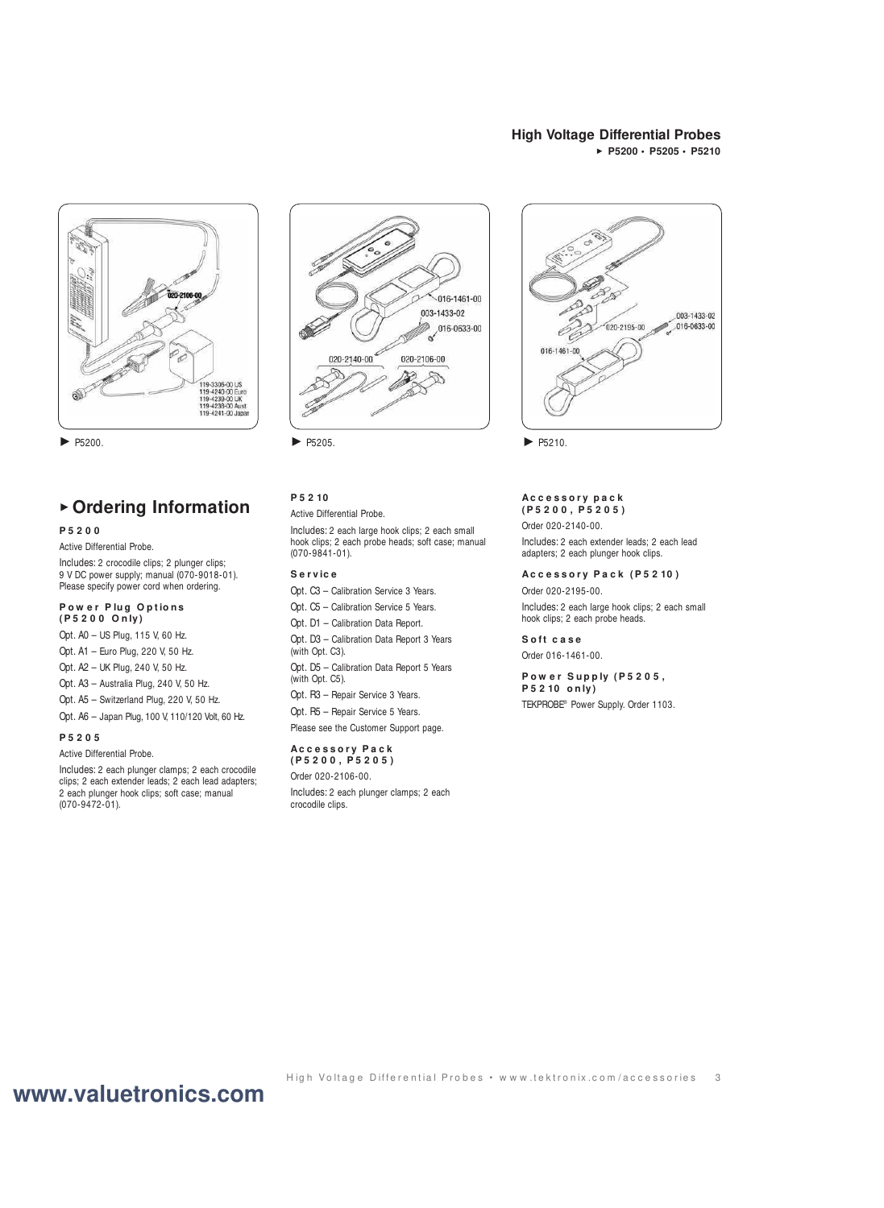## **High Voltage Differential Probes P5200 • P5205 • P5210**



## **Ordering Information**

#### **P 5 2 0 0**

Active Differential Probe.

Includes: 2 crocodile clips; 2 plunger clips; 9 V DC power supply; manual (070-9018-01). Please specify power cord when ordering.

#### Power Plug Options **( P 5 2 0 0 O n ly)**

Opt. A0 – US Plug, 115 V, 60 Hz.

Opt. A1 – Euro Plug, 220 V, 50 Hz.

- Opt. A2 UK Plug, 240 V, 50 Hz.
- Opt. A3 Australia Plug, 240 V, 50 Hz.
- Opt. A5 Switzerland Plug, 220 V, 50 Hz.
- Opt. A6 Japan Plug, 100 V, 110/120 Volt, 60 Hz.

#### **P 5 2 0 5**

Active Differential Probe.

Includes: 2 each plunger clamps; 2 each crocodile clips; 2 each extender leads; 2 each lead adapters; 2 each plunger hook clips; soft case; manual (070-9472-01).



P5200. ▶ P5210.

## **P 5 2 10**

#### Active Differential Probe.

Includes: 2 each large hook clips; 2 each small hook clips; 2 each probe heads; soft case; manual (070-9841-01).

### **S e r v ic e**

Opt. C3 – Calibration Service 3 Years.

- Opt. C5 Calibration Service 5 Years.
- Opt. D1 Calibration Data Report.
- Opt. D3 Calibration Data Report 3 Years (with Opt. C3).

Opt. D5 – Calibration Data Report 5 Years (with Opt. C5).

- Opt. R3 Repair Service 3 Years.
- Opt. R5 Repair Service 5 Years.
- Please see the Customer Support page.

#### **Ac c e s s o r y P a c k ( P 5 2 0 0 , P 5 2 0 5 )**

Order 020-2106-00.

Includes: 2 each plunger clamps; 2 each crocodile clips.



#### **Ac c e s s o r y p a c k ( P 5 2 0 0 , P 5 2 0 5 )**

Order 020-2140-00.

Includes: 2 each extender leads; 2 each lead adapters; 2 each plunger hook clips.

#### **Ac c e s s o r y P a c k ( P 5 2 10 )**

Order 020-2195-00.

Includes: 2 each large hook clips; 2 each small hook clips; 2 each probe heads.

#### **S o ft c a s e**

Order 016-1461-00.

#### **P o w e r S u p p ly ( P 5 2 0 5 , P 5 2 10 o n ly)**

TEKPROBE® Power Supply. Order 1103.